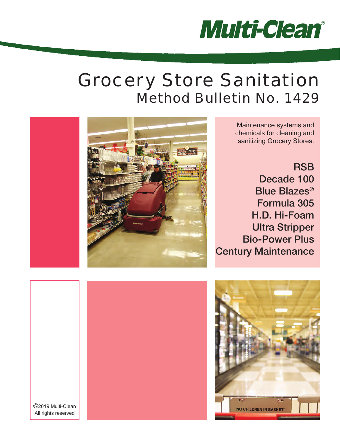

# Method Bulletin No. 1429 Grocery Store Sanitation

Maintenance systems and chemicals for cleaning and sanitizing Grocery Stores.

**RSB** Decade 100 Blue Blazes® Formula 305 H.D. Hi-Foam Ultra Stripper Bio-Power Plus Century Maintenance





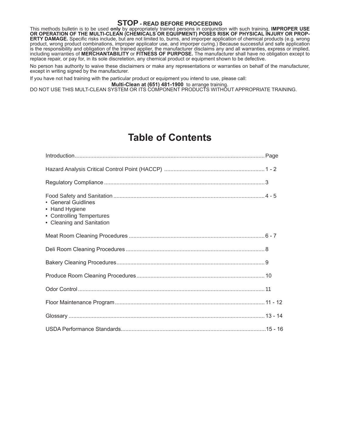### **STOP - READ BEFORE PROCEEDING**

This methods bulletin is to be used **only** by appropriately trained persons in conjunction with such training. **IMPROPER USE OR OPERATION OF THE MULTI-CLEAN (CHEMICALS OR EQUIPMENT) POSES RISK OF PHYSICAL INJURY OR PROP-ERTY DAMAGE.** Specific risks include, but are not limited to, burns, and imporper application of chemical products (e.g. wrong product, wrong product combinations, improper applicator use, and imporper curing.) Because successful and safe application is the responsibility and obligation of the trained applier, the manufacturer disclaims any and all warranties, express or implied, including warranties of **MERCHANTABILITY** or **FITNESS OF PURPOSE.** The manufacturer shall have no obligation except to replace repair, or pay for, in its sole discretetion, any chemical product or equipment shown to be defective.

No person has authority to waive these disclaimers or make any representations or warranties on behalf of the manufacturer, except in writing signed by the manufacturer.

If you have not had training with the particular product or equipment you intend to use, please call:

**Multi-Clean at (651) 481-1900** to arrange training.

DO NOT USE THIS MULT-CLEAN SYSTEM OR ITS COMPONENT PRODUCTS WITHOUT APPROPRIATE TRAINING.

## **Table of Contents**

| • General Guidlines<br>• Hand Hygiene<br>• Controlling Tempertures<br>• Cleaning and Sanitation |  |
|-------------------------------------------------------------------------------------------------|--|
|                                                                                                 |  |
|                                                                                                 |  |
|                                                                                                 |  |
|                                                                                                 |  |
|                                                                                                 |  |
|                                                                                                 |  |
|                                                                                                 |  |
|                                                                                                 |  |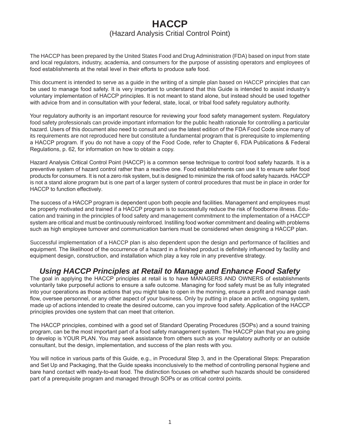### **HACCP** (Hazard Analysis Critial Control Point)

The HACCP has been prepared by the United States Food and Drug Administration (FDA) based on input from state and local regulators, industry, academia, and consumers for the purpose of assisting operators and employees of food establishments at the retail level in their efforts to produce safe food.

This document is intended to serve as a guide in the writing of a simple plan based on HACCP principles that can be used to manage food safety. It is very important to understand that this Guide is intended to assist industry's voluntary implementation of HACCP principles. It is not meant to stand alone, but instead should be used together with advice from and in consultation with your federal, state, local, or tribal food safety regulatory authority.

Your regulatory authority is an important resource for reviewing your food safety management system. Regulatory food safety professionals can provide important information for the public health rationale for controlling a particular hazard. Users of this document also need to consult and use the latest edition of the FDA Food Code since many of its requirements are not reproduced here but constitute a fundamental program that is prerequisite to implementing a HACCP program. If you do not have a copy of the Food Code, refer to Chapter 6, FDA Publications & Federal Regulations, p. 62, for information on how to obtain a copy.

Hazard Analysis Critical Control Point (HACCP) is a common sense technique to control food safety hazards. It is a preventive system of hazard control rather than a reactive one. Food establishments can use it to ensure safer food products for consumers. It is not a zero risk system, but is designed to minimize the risk of food safety hazards. HACCP is not a stand alone program but is one part of a larger system of control procedures that must be in place in order for HACCP to function effectively.

The success of a HACCP program is dependent upon both people and facilities. Management and employees must be properly motivated and trained if a HACCP program is to successfully reduce the risk of foodborne illness. Education and training in the principles of food safety and management commitment to the implementation of a HACCP system are critical and must be continuously reinforced. Instilling food worker commitment and dealing with problems such as high employee turnover and communication barriers must be considered when designing a HACCP plan.

Successful implementation of a HACCP plan is also dependent upon the design and performance of facilities and equipment. The likelihood of the occurrence of a hazard in a finished product is definitely influenced by facility and equipment design, construction, and installation which play a key role in any preventive strategy.

### *Using HACCP Principles at Retail to Manage and Enhance Food Safety*

The goal in applying the HACCP principles at retail is to have MANAGERS AND OWNERS of establishments voluntarily take purposeful actions to ensure a safe outcome. Managing for food safety must be as fully integrated into your operations as those actions that you might take to open in the morning, ensure a profit and manage cash flow, oversee personnel, or any other aspect of your business. Only by putting in place an active, ongoing system, made up of actions intended to create the desired outcome, can you improve food safety. Application of the HACCP principles provides one system that can meet that criterion.

The HACCP principles, combined with a good set of Standard Operating Procedures (SOPs) and a sound training program, can be the most important part of a food safety management system. The HACCP plan that you are going to develop is YOUR PLAN. You may seek assistance from others such as your regulatory authority or an outside consultant, but the design, implementation, and success of the plan rests with you.

You will notice in various parts of this Guide, e.g., in Procedural Step 3, and in the Operational Steps: Preparation and Set Up and Packaging, that the Guide speaks inconclusively to the method of controlling personal hygiene and bare hand contact with ready-to-eat food. The distinction focuses on whether such hazards should be considered part of a prerequisite program and managed through SOPs or as critical control points.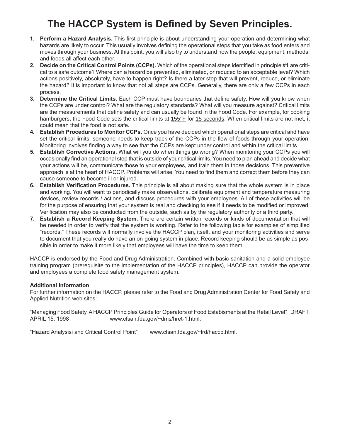## **The HACCP System is Defined by Seven Principles.**

- **1. Perform a Hazard Analysis.** This first principle is about understanding your operation and determining what hazards are likely to occur. This usually involves defining the operational steps that you take as food enters and moves through your business. At this point, you will also try to understand how the people, equipment, methods, and foods all affect each other.
- **2. Decide on the Critical Control Points (CCPs).** Which of the operational steps identified in principle #1 are critical to a safe outcome? Where can a hazard be prevented, eliminated, or reduced to an acceptable level? Which actions positively, absolutely, have to happen right? Is there a later step that will prevent, reduce, or eliminate the hazard? It is important to know that not all steps are CCPs. Generally, there are only a few CCPs in each process.
- **3. Determine the Critical Limits.** Each CCP must have boundaries that define safety. How will you know when the CCPs are under control? What are the regulatory standards? What will you measure against? Critical limits are the measurements that define safety and can usually be found in the Food Code. For example, for cooking hamburgers, the Food Code sets the critical limits at 155°F for 15 seconds. When critical limits are not met, it could mean that the food is not safe.
- **4. Establish Procedures to Monitor CCPs.** Once you have decided which operational steps are critical and have set the critical limits, someone needs to keep track of the CCPs in the flow of foods through your operation. Monitoring involves finding a way to see that the CCPs are kept under control and within the critical limits.
- **5. Establish Corrective Actions.** What will you do when things go wrong? When monitoring your CCPs you will occasionally find an operational step that is outside of your critical limits. You need to plan ahead and decide what your actions will be, communicate those to your employees, and train them in those decisions. This preventive approach is at the heart of HACCP. Problems will arise. You need to find them and correct them before they can cause someone to become ill or injured.
- **6. Establish Verification Procedures.** This principle is all about making sure that the whole system is in place and working. You will want to periodically make observations, calibrate equipment and temperature measuring devices, review records / actions, and discuss procedures with your employees. All of these activities will be for the purpose of ensuring that your system is real and checking to see if it needs to be modified or improved. Verification may also be conducted from the outside, such as by the regulatory authority or a third party.
- **7. Establish a Record Keeping System.** There are certain written records or kinds of documentation that will be needed in order to verify that the system is working. Refer to the following table for examples of simplified "records." These records will normally involve the HACCP plan, itself, and your monitoring activities and serve to document that you really do have an on-going system in place. Record keeping should be as simple as possible in order to make it more likely that employees will have the time to keep them.

HACCP is endorsed by the Food and Drug Administration. Combined with basic sanitation and a solid employee training program (prerequisite to the implementation of the HACCP principles), HACCP can provide the operator and employees a complete food safety management system.

#### **Additional Information**

For further information on the HACCP, please refer to the Food and Drug Administration Center for Food Safety and Applied Nutrition web sites:

"Managing Food Safety, A HACCP Principles Guide for Operators of Food Estabisments at the Retail Level" DRAFT: APRIL 15, 1998 www.cfsan.fda.gov/~dms/hret-1.html.

"Hazard Analysisi and Critical Control Point" www.cfsan.fda.gov/~lrd/haccp.html.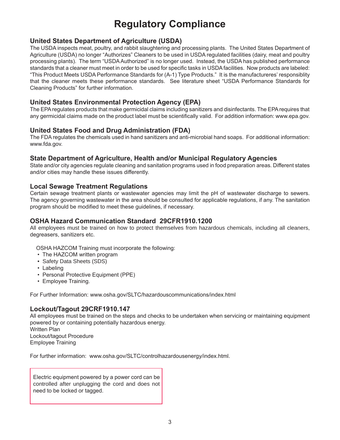## **Regulatory Compliance**

### **United States Department of Agriculture (USDA)**

The USDA inspects meat, poultry, and rabbit slaughtering and processing plants. The United States Department of Agriculture (USDA) no longer "Authorizes" Cleaners to be used in USDA regulated facilities (dairy, meat and poultry processing plants). The term "USDA Authorized" is no longer used. Instead, the USDA has published performance standards that a cleaner must meet in order to be used for specific tasks in USDA facilities. Now products are labeled: "This Product Meets USDA Performance Standards for (A-1) Type Products." It is the manufactureres' responsiblity that the cleaner meets these performance standards. See literature sheet "USDA Performance Standards for Cleaning Products" for further information.

### **United States Environmental Protection Agency (EPA)**

The EPA regulates products that make germicidal claims including sanitizers and disinfectants. The EPA requires that any germicidal claims made on the product label must be scientifically valid. For addition information: www.epa.gov.

### **United States Food and Drug Administration (FDA)**

The FDA regulates the chemicals used in hand sanitizers and anti-microbial hand soaps. For additional information: www.fda.gov.

### **State Department of Agriculture, Health and/or Municipal Regulatory Agencies**

State and/or city agencies regulate cleaning and sanitation programs used in food preparation areas. Different states and/or cities may handle these issues differently.

### **Local Sewage Treatment Regulations**

Certain sewage treatment plants or wastewater agencies may limit the pH of wastewater discharge to sewers. The agency governing wastewater in the area should be consulted for applicable regulations, if any. The sanitation program should be modified to meet these guidelines, if necessary.

### **OSHA Hazard Communication Standard 29CFR1910.1200**

All employees must be trained on how to protect themselves from hazardous chemicals, including all cleaners, degreasers, sanitizers etc.

OSHA HAZCOM Training must incorporate the following:

- The HAZCOM written program
- Safety Data Sheets (SDS)
- Labeling
- Personal Protective Equipment (PPE)
- Employee Training.

For Further Information: www.osha.gov/SLTC/hazardouscommunications/index.html

### **Lockout/Tagout 29CRF1910.147**

All employees must be trained on the steps and checks to be undertaken when servicing or maintaining equipment powered by or containing potentially hazardous energy.

Written Plan Lockout/tagout Procedure Employee Training

For further information: www.osha.gov/SLTC/controlhazardousenergy/index.html.

Electric equipment powered by a power cord can be controlled after unplugging the cord and does not need to be locked or tagged.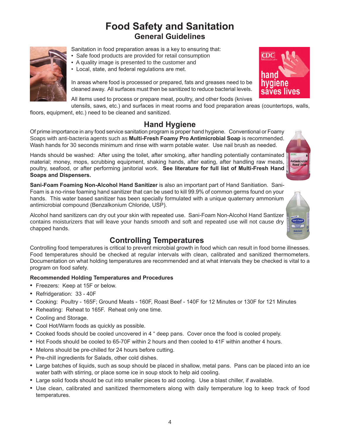## **Food Safety and Sanitation General Guidelines**



Sanitation in food preparation areas is a key to ensuring that:

- Safe food products are provided for retail consumption
- A quality image is presented to the customer and
- Local, state, and federal regulations are met.

In areas where food is processed or prepared, fats and greases need to be cleaned away. All surfaces must then be sanitized to reduce bacterial levels.

All items used to process or prepare meat, poultry, and other foods (knives

utensils, saws, etc.) and surfaces in meat rooms and food preparation areas (countertops, walls, floors, equipment, etc.) need to be cleaned and sanitized.

### **Hand Hygiene**

Of prime importance in any food service sanitation program is proper hand hygiene. Conventional or Foamy Soaps with anti-bacteria agents such as **Multi-Fresh Foamy Pro Antimicrobial Soap** is recommended. Wash hands for 30 seconds minimum and rinse with warm potable water. Use nail brush as needed.

Hands should be washed: After using the toilet, after smoking, after handling potentially contaminated material; money, mops, scrubbing equipment, shaking hands, after eating, after handling raw meats, poultry, seafood, or after performing janitorial work. **See literature for full list of Multi-Fresh Hand Soaps and Dispensers.**

**Sani-Foam Foaming Non-Alcohol Hand Sanitizer** is also an important part of Hand Sanitiation. Sani-Foam is a no-rinse foaming hand sanitizer that can be used to kill 99.9% of common germs found on your hands. This water based sanitizer has been specially formulated with a unique quaternary ammonium antimicrobial compound (Benzalkonium Chloride, USP).

Alcohol hand sanitizers can dry out your skin with repeated use. Sani-Foam Non-Alcohol Hand Santizer contains moisturizers that will leave your hands smooth and soft and repeated use will not cause dry chapped hands.

### **Controlling Temperatures**

Controlling food temperatures is critical to prevent microbial growth in food which can result in food borne illnesses. Food temperatures should be checked at regular intervals with clean, calibrated and sanitized thermometers. Documentation on what holding temperatures are recommended and at what intervals they be checked is vital to a program on food safety.

### **Recommended Holding Temperatures and Procedures**

- Freezers: Keep at 15F or below.
- Refridgeration: 33 40F
- Cooking: Poultry 165F; Ground Meats 160F, Roast Beef 140F for 12 Minutes or 130F for 121 Minutes
- Reheating: Reheat to 165F. Reheat only one time.
- Cooling and Storage.
- Cool Hot/Warm foods as quickly as possible.
- Cooked foods should be cooled uncovered in 4 " deep pans. Cover once the food is cooled propely.
- Hot Foods should be cooled to 65-70F within 2 hours and then cooled to 41F within another 4 hours.
- Melons should be pre-chilled for 24 hours before cutting.
- Pre-chill ingredients for Salads, other cold dishes.
- Large batches of liquids, such as soup should be placed in shallow, metal pans. Pans can be placed into an ice water bath with stirring, or place some ice in soup stock to help aid cooling.
- Large solid foods should be cut into smaller pieces to aid cooling. Use a blast chiller, if available.
- Use clean, calibrated and sanitized thermometers along with daily temperature log to keep track of food temperatures.



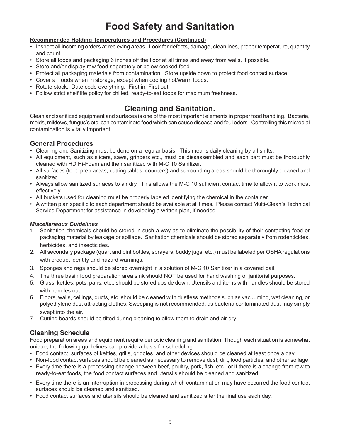## **Food Safety and Sanitation**

### **Recommended Holding Temperatures and Procedures (Continued)**

- Inspect all incoming orders at recieving areas. Look for defects, damage, cleanlines, proper temperature, quantity and count.
- Store all foods and packaging 6 inches off the floor at all times and away from walls, if possible.
- Store and/or display raw food seperately or below cooked food.
- Protect all packaging materials from contamination. Store upside down to protect food contact surface.
- Cover all foods when in storage, except when cooling hot/warm foods.
- Rotate stock. Date code everything. First in, First out.
- Follow strict shelf life policy for chilled, ready-to-eat foods for maximum freshness.

### **Cleaning and Sanitation.**

Clean and sanitized equipment and surfaces is one of the most important elements in proper food handling. Bacteria, molds, mildews, fungus's etc. can contaminate food which can cause disease and foul odors. Controlling this microbial contamination is vitally important.

### **General Procedures**

- Cleaning and Sanitizing must be done on a regular basis. This means daily cleaning by all shifts.
- All equipment, such as slicers, saws, grinders etc., must be dissassembled and each part must be thoroughly cleaned with HD Hi-Foam and then sanitized with M-C 10 Sanitizer.
- All surfaces (food prep areas, cutting tables, counters) and surrounding areas should be thoroughly cleaned and sanitized.
- Always allow sanitized surfaces to air dry. This allows the M-C 10 sufficient contact time to allow it to work most effectively.
- All buckets used for cleaning must be properly labeled identifying the chemical in the container.
- A written plan specific to each department should be available at all times. Please contact Multi-Clean's Technical Service Department for assistance in developing a written plan, if needed.

### *Miscellaneous Guidelines*

- 1. Sanitation chemicals should be stored in such a way as to eliminate the possibility of their contacting food or packaging material by leakage or spillage. Sanitation chemicals should be stored separately from rodenticides, herbicides, and insecticides.
- 2. All secondary package (quart and pint bottles, sprayers, buddy jugs, etc.) must be labeled per OSHA regulations with product identity and hazard warnings.
- 3. Sponges and rags should be stored overnight in a solution of M-C 10 Sanitizer in a covered pail.
- 4. The three basin food preparation area sink should NOT be used for hand washing or janitorial purposes.
- 5. Glass, kettles, pots, pans, etc., should be stored upside down. Utensils and items with handles should be stored with handles out.
- 6. Floors, walls, ceilings, ducts, etc. should be cleaned with dustless methods such as vacuuming, wet cleaning, or polyethylene dust attracting clothes. Sweeping is not recommended, as bacteria contaminated dust may simply swept into the air.
- 7. Cutting boards should be tilted during cleaning to allow them to drain and air dry.

### **Cleaning Schedule**

Food preparation areas and equipment require periodic cleaning and sanitation. Though each situation is somewhat unique, the following guidelines can provide a basis for scheduling.

- Food contact, surfaces of kettles, grills, griddles, and other devices should be cleaned at least once a day.
- Non-food contact surfaces should be cleaned as necessary to remove dust, dirt, food particles, and other soilage.
- Every time there is a processing change between beef, poultry, pork, fish, etc., or if there is a change from raw to ready-to-eat foods, the food contact surfaces and utensils should be cleaned and sanitized.
- Every time there is an interruption in processing during which contamination may have occurred the food contact surfaces should be cleaned and sanitized.
- Food contact surfaces and utensils should be cleaned and sanitized after the final use each day.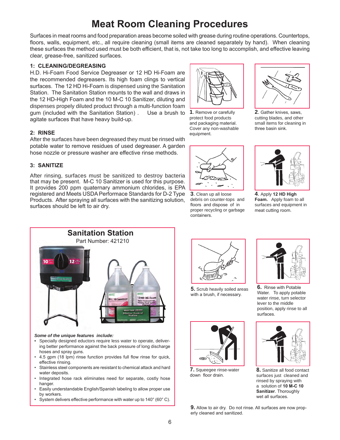## **Meat Room Cleaning Procedures**

Surfaces in meat rooms and food preparation areas become soiled with grease during routine operations. Countertops, floors, walls, equipment, etc., all require cleaning (small items are cleaned separately by hand). When cleaning these surfaces the method used must be both efficient, that is, not take too long to accomplish, and effective leaving clear, grease-free, sanitized surfaces.

#### **1: CLEANING/DEGREASING**

H.D. Hi-Foam Food Service Degreaser or 12 HD Hi-Foam are the recommended degreasers. Its high foam clings to vertical surfaces. The 12 HD Hi-Foam is dispensed using the Sanitation Station. The Sanitation Station mounts to the wall and draws in the 12 HD-High Foam and the 10 M-C 10 Sanitizer, diluting and dispenses propely diluted product through a multi-function foam gum (included with the Sanitation Station) . Use a brush to agitate surfaces that have heavy build-up.

#### **2: RINSE**

After the surfaces have been degreased they must be rinsed with potable water to remove residues of used degreaser. A garden hose nozzle or pressure washer are effective rinse methods.

#### **3: SANITIZE**

After rinsing, surfaces must be sanitized to destroy bacteria that may be present. M-C 10 Sanitizer is used for this purpose. It provides 200 ppm quaternary ammonium chlorides, is EPA registered and Meets USDA Performace Standards for D-2 Type Products. After spraying all surfaces with the sanitizing solution, surfaces should be left to air dry.



**1**. Remove or carefully protect food products and packaging material. Cover any non-washable equipment.



**2**. Gather knives, saws, cutting blades, and other small items for cleaning in three basin sink.



**3**. Clean up all loose debris on counter-tops and floors and dispose of in proper recycling or garbage containers.



**4**. Apply **12 HD High Foam.** Apply foam to all surfaces and equipment in meat cutting room.



#### *Some of the unique features include:*

- Specially designed eductors require less water to operate, delivering better performance against the back pressure of long discharge hoses and spray guns.
- 4.5 gpm (18 lpm) rinse function provides full flow rinse for quick, effective rinsing.
- Stainless steel components are resistant to chemical attack and hard water deposits.
- Integrated hose rack eliminates need for separate, costly hose hanger.
- Easily understandable English/Spanish labeling to allow proper use by workers.
- System delivers effective performance with water up to 140° (60° C).



**5.** Scrub heavily soiled areas with a brush, if necessary.



**7.** Squeegee rinse-water down floor drain.



**6.** Rinse with Potable Water. To apply potable water rinse, turn selector lever to the middle position, apply rinse to all surfaces.



**8.** Sanitize all food contact surfaces just cleaned and rinsed by spraying with a solution of **10 M-C 10 Sanitizer**. Thoroughly wet all surfaces.

**9.** Allow to air dry. Do not rinse. All surfaces are now properly cleaned and sanitized.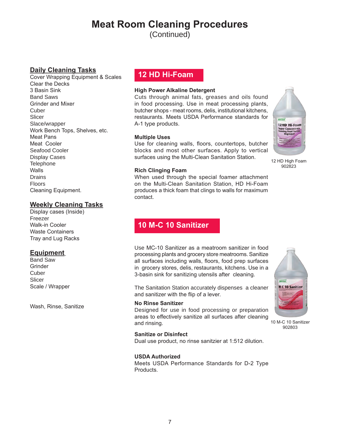## **Meat Room Cleaning Procedures**

(Continued)

### **Daily Cleaning Tasks**

Cover Wrapping Equipment & Scales Clear the Decks 3 Basin Sink Band Saws Grinder and Mixer Cuber Slicer Slace/wrapper Work Bench Tops, Shelves, etc. Meat Pans Meat Cooler Seafood Cooler Display Cases **Telephone** Walls Drains Floors Cleaning Equipment.

### **Weekly Cleaning Tasks**

Display cases (Inside) Freezer Walk-in Cooler Waste Containers Tray and Lug Racks

### **Equipment**

Band Saw **Grinder Cuber** Slicer Scale / Wrapper

Wash, Rinse, Sanitize

### **12 HD Hi-Foam**

#### **High Power Alkaline Detergent**

Cuts through animal fats, greases and oils found in food processing. Use in meat processing plants, butcher shops - meat rooms, delis, institutional kitchens, restaurants. Meets USDA Performance standards for A-1 type products.

#### **Multiple Uses**

Use for cleaning walls, floors, countertops, butcher blocks and most other surfaces. Apply to vertical surfaces using the Multi-Clean Sanitation Station.

#### **Rich Clinging Foam**

When used through the special foamer attachment on the Multi-Clean Sanitation Station, HD Hi-Foam produces a thick foam that clings to walls for maximum contact.

### **10 M-C 10 Sanitizer**

Use MC-10 Sanitizer as a meatroom sanitizer in food processing plants and grocery store meatrooms. Sanitize all surfaces including walls, floors, food prep surfaces in grocery stores, delis, restaurants, kitchens. Use in a 3-basin sink for sanitizing utensils after cleaning.

The Sanitation Station accurately dispenses a cleaner and sanitizer with the flip of a lever.

#### **No Rinse Sanitizer**

Designed for use in food processing or preparation areas to effectively sanitize all surfaces after cleaning and rinsing.

#### **Sanitize or Disinfect**

Dual use product, no rinse sanitzier at 1:512 dilution.

#### **USDA Authorized**

Meets USDA Performance Standards for D-2 Type Products.



12 HD High Foam 902823



10 M-C 10 Sanitizer 902803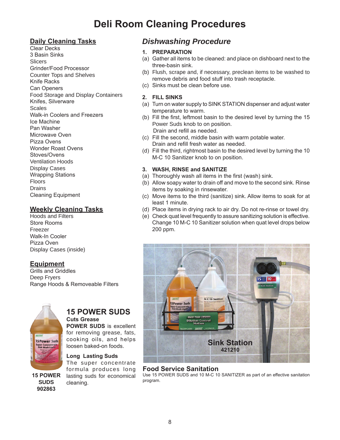## **Deli Room Cleaning Procedures**

### **Daily Cleaning Tasks**

Clear Decks 3 Basin Sinks **Slicers** Grinder/Food Processor Counter Tops and Shelves Knife Racks Can Openers Food Storage and Display Containers Knifes, Silverware Scales Walk-in Coolers and Freezers Ice Machine Pan Washer Microwave Oven Pizza Ovens Wonder Roast Ovens Stoves/Ovens Ventilation Hoods Display Cases Wrapping Stations Floors **Drains** Cleaning Equipment

### **Weekly Cleaning Tasks**

Hoods and Filters Store Rooms Freezer Walk-In Cooler Pizza Oven Display Cases (inside)

### **Equipment**

Grills and Griddles Deep Fryers Range Hoods & Removeable Filters



**15 POWER SUDS 902863**

**15 POWER SUDS Cuts Grease**

**POWER SUDS** is excellent for removing grease, fats, cooking oils, and helps loosen baked-on foods.

**Long Lasting Suds** The super concentrate formula produces long lasting suds for economical cleaning.

### *Dishwashing Procedure*

### **1. PREPARATION**

- (a) Gather all items to be cleaned: and place on dishboard next to the three-basin sink.
- (b) Flush, scrape and, if necessary, preclean items to be washed to remove debris and food stuff into trash receptacle.
- (c) Sinks must be clean before use.

#### **2. FILL SINKS**

- (a) Turn on water supply to SINK STATION dispenser and adjust water temperature to warm.
- (b) Fill the first, leftmost basin to the desired level by turning the 15 Power Suds knob to on position. Drain and refill as needed.
- (c) Fill the second, middle basin with warm potable water. Drain and refill fresh water as needed.
- (d) Fill the third, rightmost basin to the desired level by turning the 10 M-C 10 Sanitizer knob to on position.

#### **3. WASH, RINSE and SANITIZE**

- (a) Thoroughly wash all items in the first (wash) sink.
- (b) Allow soapy water to drain off and move to the second sink. Rinse items by soaking in rinsewater.
- (c) Move items to the third (sanitize) sink. Allow items to soak for at least 1 minute.
- (d) Place items in drying rack to air dry. Do not re-rinse or towel dry.
- (e) Check quat level frequently to assure sanitizing solution is effective. Change 10 M-C 10 Sanitizer solution when quat level drops below 200 ppm.



#### **Food Service Sanitation** Use 15 POWER SUDS and 10 M-C 10 SANITIZER as part of an effective sanitation program.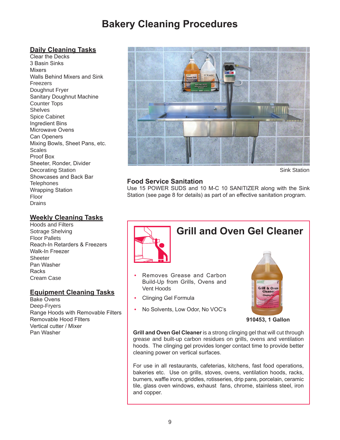## **Bakery Cleaning Procedures**

### **Daily Cleaning Tasks**

Clear the Decks 3 Basin Sinks Mixers Walls Behind Mixers and Sink Freezers Doughnut Fryer Sanitary Doughnut Machine Counter Tops Shelves Spice Cabinet Ingredient Bins Microwave Ovens Can Openers Mixing Bowls, Sheet Pans, etc. **Scales** Proof Box Sheeter, Ronder, Divider Decorating Station Showcases and Back Bar **Telephones** Wrapping Station Floor Drains

### **Weekly Cleaning Tasks**

Hoods and Filters Sotrage Shelving Floor Pallets Reach-In Retarders & Freezers Walk-In Freezer Sheeter Pan Washer Racks Cream Case

### **Equipment Cleaning Tasks**

Bake Ovens Deep-Fryers Range Hoods with Removable Filters Removable Hood FIlters Vertical cutter / Mixer Pan Washer



Sink Station

### **Food Service Sanitation**

Use 15 POWER SUDS and 10 M-C 10 SANITIZER along with the Sink Station (see page 8 for details) as part of an effective sanitation program.



• No Solvents, Low Odor, No VOC's

**910453, 1 Gallon**

**Grill and Oven Gel Cleaner** is a strong clinging gel that will cut through grease and built-up carbon residues on grills, ovens and ventilation hoods. The clinging gel provides longer contact time to provide better cleaning power on vertical surfaces.

For use in all restaurants, cafeterias, kitchens, fast food operations, bakeries etc. Use on grills, stoves, ovens, ventilation hoods, racks, burners, waffle irons, griddles, rotisseries, drip pans, porcelain, ceramic tile, glass oven windows, exhaust fans, chrome, stainless steel, iron and copper.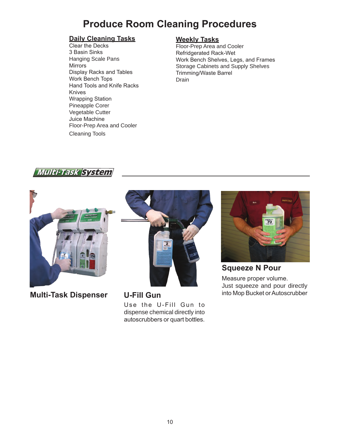## **Produce Room Cleaning Procedures**

### **Daily Cleaning Tasks**

Clear the Decks 3 Basin Sinks Hanging Scale Pans Mirrors Display Racks and Tables Work Bench Tops Hand Tools and Knife Racks Knives Wrapping Station Pineapple Corer Vegetable Cutter Juice Machine Floor-Prep Area and Cooler Cleaning Tools

### **Weekly Tasks**

Floor-Prep Area and Cooler Refridgerated Rack-Wet Work Bench Shelves, Legs, and Frames Storage Cabinets and Supply Shelves Trimming/Waste Barrel Drain





**Multi-Task Dispenser U-Fill Gun**



Use the U-Fill Gun to dispense chemical directly into autoscrubbers or quart bottles.



Measure proper volume. Just squeeze and pour directly into Mop Bucket or Autoscrubber **Squeeze N Pour**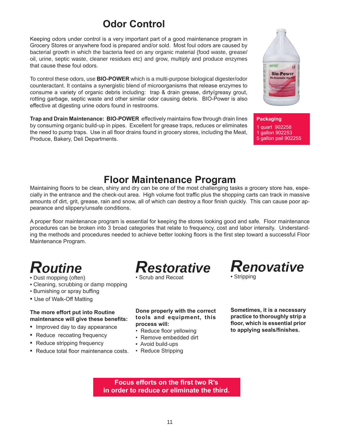## **Odor Control**

Keeping odors under control is a very important part of a good maintenance program in Grocery Stores or anywhere food is prepared and/or sold. Most foul odors are caused by bacterial growth in which the bacteria feed on any organic material (food waste, grease/ oil, urine, septic waste, cleaner residues etc) and grow, multiply and produce enzymes that cause these foul odors.

To control these odors, use **BIO-POWER** which is a multi-purpose biological digester/odor counteractant. It contains a synergistic blend of microorganisms that release enzymes to consume a variety of organic debris including: trap & drain grease, dirty/greasy grout, rotting garbage, septic waste and other similar odor causing debris. BIO-Power is also effective at digesting urine odors found in restrooms.

**Trap and Drain Maintenance: BIO-POWER** effectively maintains flow through drain lines by consuming organic build-up in pipes. Excellent for grease traps, reduces or eliminates the need to pump traps. Use in all floor drains found in grocery stores, including the Meat, Produce, Bakery, Deli Departments.

## **Floor Maintenance Program**

Maintaining floors to be clean, shiny and dry can be one of the most challenging tasks a grocery store has, especially in the entrance and the check-out area. High volume foot traffic plus the shopping carts can track in massive amounts of dirt, grit, grease, rain and snow, all of which can destroy a floor finish quickly. This can cause poor appearance and slippery/unsafe conditions.

A proper floor maintenance program is essential for keeping the stores looking good and safe. Floor maintenance procedures can be broken into 3 broad categories that relate to frequency, cost and labor intensity. Understanding the methods and procedures needed to achieve better looking floors is the first step toward a successful Floor Maintenance Program.

# *Routine*

- Dust mopping (often)
- Cleaning, scrubbing or damp mopping
- Burnishing or spray buffing
- Use of Walk-Off Matting

#### **The more effort put into Routine maintenance will give these benefits:**

- Improved day to day appearance
- Reduce recoating frequency
- Reduce stripping frequency
- Reduce total floor maintenance costs.

*Restorative*

**Done properly with the correct tools and equipment, this** 

• Scrub and Recoat

**process will:**

• Avoid build-ups • Reduce Stripping **Sometimes, it is a necessary practice to thoroughly strip a floor, which is essential prior to applying seals/finishes.**

*Renovative*

• Stripping

**Focus efforts on the first two R's in order to reduce or eliminate the third.**

• Reduce floor yellowing • Remove embedded dirt



**Packaging** 1 quart 902258 1 gallon 902253 5 gallon pail 902255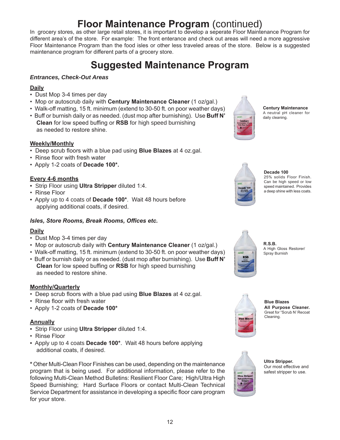## **Floor Maintenance Program** (continued)

In grocery stores, as other large retail stores, it is important to develop a seperate Floor Maintenance Program for different area's of the store. For example: The front enterance and check out areas will need a more aggressive Floor Maintenance Program than the food isles or other less traveled areas of the store. Below is a suggested maintenance program for different parts of a grocery store.

## **Suggested Maintenance Program**

### *Entrances, Check-Out Areas*

#### **Daily**

- Dust Mop 3-4 times per day
- Mop or autoscrub daily with **Century Maintenance Cleaner** (1 oz/gal.)
- Walk-off matting, 15 ft. minimum (extend to 30-50 ft. on poor weather days)
- Buff or burnish daily or as needed. (dust mop after burnishing). Use **Buff N' Clean** for low speed buffing or **RSB** for high speed burnishing as needed to restore shine.



**Century Maintenance**  A neutral pH cleaner for daily cleaning.



**Decade 100** 25% solids Floor Finish. Can be high speed or low speed maintained. Provides a deep shine with less coats.



**R.S.B.** A High Gloss Restorer/ Spray Burnish



**Blue Blazes All Purpose Cleaner.** Great for "Scrub N' Recoat Cleaning.



**Ultra Stripper.** Our most effective and safest stripper to use.

### **Weekly/Monthly**

- Deep scrub floors with a blue pad using **Blue Blazes** at 4 oz.gal.
- Rinse floor with fresh water
- Apply 1-2 coats of **Decade 100\*.**

### **Every 4-6 months**

- Strip Floor using **Ultra Stripper** diluted 1:4.
- Rinse Floor
- Apply up to 4 coats of **Decade 100\***. Wait 48 hours before applying additional coats, if desired.

### *Isles, Store Rooms, Break Rooms, Offices etc.*

### **Daily**

- Dust Mop 3-4 times per day
- Mop or autoscrub daily with **Century Maintenance Cleaner** (1 oz/gal.)
- Walk-off matting, 15 ft. minimum (extend to 30-50 ft. on poor weather days)
- Buff or burnish daily or as needed. (dust mop after burnishing). Use **Buff N' Clean** for low speed buffing or **RSB** for high speed burnishing as needed to restore shine.

### **Monthly/Quarterly**

- Deep scrub floors with a blue pad using **Blue Blazes** at 4 oz.gal.
- Rinse floor with fresh water
- Apply 1-2 coats of **Decade 100\***

### **Annually**

- Strip Floor using **Ultra Stripper** diluted 1:4.
- Rinse Floor
- Apply up to 4 coats **Decade 100\***. Wait 48 hours before applying additional coats, if desired.

**\*** Other Multi-Clean Floor Finishes can be used, depending on the maintenance program that is being used. For additional information, please refer to the following Multi-Clean Method Bulletins: Resilient Floor Care; High/Ultra High Speed Burnishing; Hard Surface Floors or contact Multi-Clean Technical Service Department for assistance in developing a specific floor care program for your store.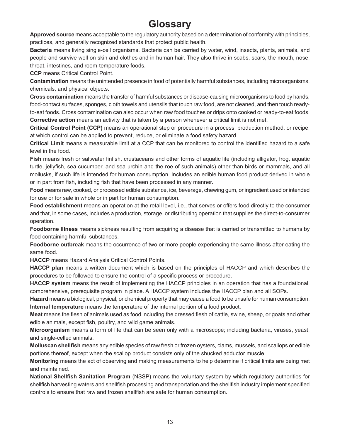## **Glossary**

**Approved source** means acceptable to the regulatory authority based on a determination of conformity with principles, practices, and generally recognized standards that protect public health.

**Bacteria** means living single-cell organisms. Bacteria can be carried by water, wind, insects, plants, animals, and people and survive well on skin and clothes and in human hair. They also thrive in scabs, scars, the mouth, nose, throat, intestines, and room-temperature foods.

**CCP** means Critical Control Point.

**Contamination** means the unintended presence in food of potentially harmful substances, including microorganisms, chemicals, and physical objects.

**Cross contamination** means the transfer of harmful substances or disease-causing microorganisms to food by hands, food-contact surfaces, sponges, cloth towels and utensils that touch raw food, are not cleaned, and then touch readyto-eat foods. Cross contamination can also occur when raw food touches or drips onto cooked or ready-to-eat foods. **Corrective action** means an activity that is taken by a person whenever a critical limit is not met.

**Critical Control Point (CCP)** means an operational step or procedure in a process, production method, or recipe, at which control can be applied to prevent, reduce, or eliminate a food safety hazard.

**Critical Limit** means a measurable limit at a CCP that can be monitored to control the identified hazard to a safe level in the food.

**Fish** means fresh or saltwater finfish, crustaceans and other forms of aquatic life (including alligator, frog, aquatic turtle, jellyfish, sea cucumber, and sea urchin and the roe of such animals) other than birds or mammals, and all mollusks, if such life is intended for human consumption. Includes an edible human food product derived in whole or in part from fish, including fish that have been processed in any manner.

**Food** means raw, cooked, or processed edible substance, ice, beverage, chewing gum, or ingredient used or intended for use or for sale in whole or in part for human consumption.

**Food establishment** means an operation at the retail level, i.e., that serves or offers food directly to the consumer and that, in some cases, includes a production, storage, or distributing operation that supplies the direct-to-consumer operation.

**Foodborne Illness** means sickness resulting from acquiring a disease that is carried or transmitted to humans by food containing harmful substances.

**Foodborne outbreak** means the occurrence of two or more people experiencing the same illness after eating the same food.

**HACCP** means Hazard Analysis Critical Control Points.

**HACCP plan** means a written document which is based on the principles of HACCP and which describes the procedures to be followed to ensure the control of a specific process or procedure.

**HACCP system** means the result of implementing the HACCP principles in an operation that has a foundational, comprehensive, prerequisite program in place. A HACCP system includes the HACCP plan and all SOPs.

**Hazard** means a biological, physical, or chemical property that may cause a food to be unsafe for human consumption. **Internal temperature** means the temperature of the internal portion of a food product.

**Meat** means the flesh of animals used as food including the dressed flesh of cattle, swine, sheep, or goats and other edible animals, except fish, poultry, and wild game animals.

**Microorganism** means a form of life that can be seen only with a microscope; including bacteria, viruses, yeast, and single-celled animals.

**Molluscan shellfish** means any edible species of raw fresh or frozen oysters, clams, mussels, and scallops or edible portions thereof, except when the scallop product consists only of the shucked adductor muscle.

**Monitoring** means the act of observing and making measurements to help determine if critical limits are being met and maintained.

**National Shellfish Sanitation Program** (NSSP) means the voluntary system by which regulatory authorities for shellfish harvesting waters and shellfish processing and transportation and the shellfish industry implement specified controls to ensure that raw and frozen shellfish are safe for human consumption.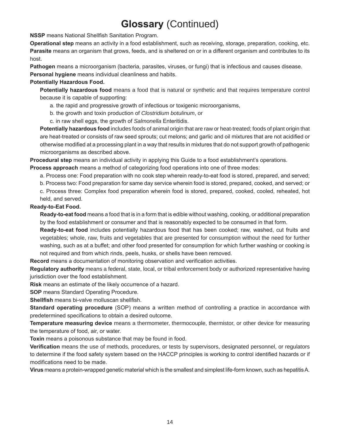## **Glossary** (Continued)

**NSSP** means National Shellfish Sanitation Program.

**Operational step** means an activity in a food establishment, such as receiving, storage, preparation, cooking, etc. **Parasite** means an organism that grows, feeds, and is sheltered on or in a different organism and contributes to its host.

**Pathogen** means a microorganism (bacteria, parasites, viruses, or fungi) that is infectious and causes disease. **Personal hygiene** means individual cleanliness and habits.

#### **Potentially Hazardous Food.**

**Potentially hazardous food** means a food that is natural or synthetic and that requires temperature control because it is capable of supporting:

- a. the rapid and progressive growth of infectious or toxigenic microorganisms,
- b. the growth and toxin production of *Clostridium botulinum*, or
- c. in raw shell eggs, the growth of *Salmonella* Enteritidis.

**Potentially hazardous food** includes foods of animal origin that are raw or heat-treated; foods of plant origin that are heat-treated or consists of raw seed sprouts; cut melons; and garlic and oil mixtures that are not acidified or otherwise modified at a processing plant in a way that results in mixtures that do not support growth of pathogenic microorganisms as described above.

**Procedural step** means an individual activity in applying this Guide to a food establishment's operations.

**Process approach** means a method of categorizing food operations into one of three modes:

a. Process one: Food preparation with no cook step wherein ready-to-eat food is stored, prepared, and served;

b. Process two: Food preparation for same day service wherein food is stored, prepared, cooked, and served; or

c. Process three: Complex food preparation wherein food is stored, prepared, cooked, cooled, reheated, hot held, and served.

#### **Ready-to-Eat Food.**

**Ready-to-eat food** means a food that is in a form that is edible without washing, cooking, or additional preparation by the food establishment or consumer and that is reasonably expected to be consumed in that form.

**Ready-to-eat food** includes potentially hazardous food that has been cooked; raw, washed, cut fruits and vegetables; whole, raw, fruits and vegetables that are presented for consumption without the need for further washing, such as at a buffet; and other food presented for consumption for which further washing or cooking is not required and from which rinds, peels, husks, or shells have been removed.

**Record** means a documentation of monitoring observation and verification activities.

**Regulatory authority** means a federal, state, local, or tribal enforcement body or authorized representative having jurisdiction over the food establishment.

**Risk** means an estimate of the likely occurrence of a hazard.

**SOP** means Standard Operating Procedure.

**Shellfish** means bi-valve molluscan shellfish.

**Standard operating procedure** (SOP) means a written method of controlling a practice in accordance with predetermined specifications to obtain a desired outcome.

**Temperature measuring device** means a thermometer, thermocouple, thermistor, or other device for measuring the temperature of food, air, or water.

**Toxin** means a poisonous substance that may be found in food.

**Verification** means the use of methods, procedures, or tests by supervisors, designated personnel, or regulators to determine if the food safety system based on the HACCP principles is working to control identified hazards or if modifications need to be made.

**Virus** means a protein-wrapped genetic material which is the smallest and simplest life-form known, such as hepatitis A.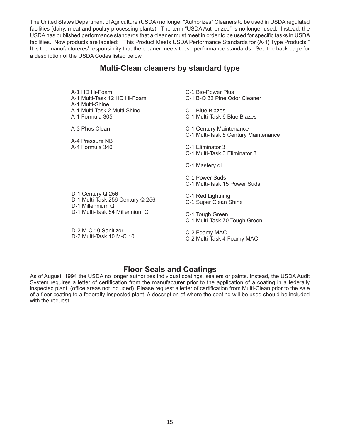The United States Department of Agriculture (USDA) no longer "Authorizes" Cleaners to be used in USDA regulated facilities (dairy, meat and poultry processing plants). The term "USDA Authorized" is no longer used. Instead, the USDA has published performance standards that a cleaner must meet in order to be used for specific tasks in USDA facilities. Now products are labeled: "This Product Meets USDA Performance Standards for (A-1) Type Products." It is the manufactureres' responsiblity that the cleaner meets these performance standards. See the back page for a description of the USDA Codes listed below.

### **Multi-Clean cleaners by standard type**

A-1 HD Hi-Foam, A-1 Multi-Task 12 HD Hi-Foam A-1 Multi-Shine A-1 Multi-Task 2 Multi-Shine A-1 Formula 305

A-3 Phos Clean

A-4 Pressure NB A-4 Formula 340

D-1 Century Q 256

D-1 Millennium Q

D-2 M-C 10 Sanitizer D-2 Multi-Task 10 M-C 10

D-1 Multi-Task 256 Century Q 256

D-1 Multi-Task 64 Millennium Q

C-1 Bio-Power Plus C-1 B-Q 32 Pine Odor Cleaner

C-1 Blue Blazes C-1 Multi-Task 6 Blue Blazes

C-1 Century Maintenance C-1 Multi-Task 5 Century Maintenance

C-1 Eliminator 3 C-1 Multi-Task 3 Eliminator 3

C-1 Mastery dL

C-1 Power Suds C-1 Multi-Task 15 Power Suds

C-1 Red Lightning C-1 Super Clean Shine

> C-1 Tough Green C-1 Multi-Task 70 Tough Green

C-2 Foamy MAC C-2 Multi-Task 4 Foamy MAC

## **Floor Seals and Coatings**

As of August, 1994 the USDA no longer authorizes individual coatings, sealers or paints. Instead, the USDA Audit System requires a letter of certification from the manufacturer prior to the application of a coating in a federally inspected plant (office areas not included). Please request a letter of certification from Multi-Clean prior to the sale of a floor coating to a federally inspected plant. A description of where the coating will be used should be included with the request.